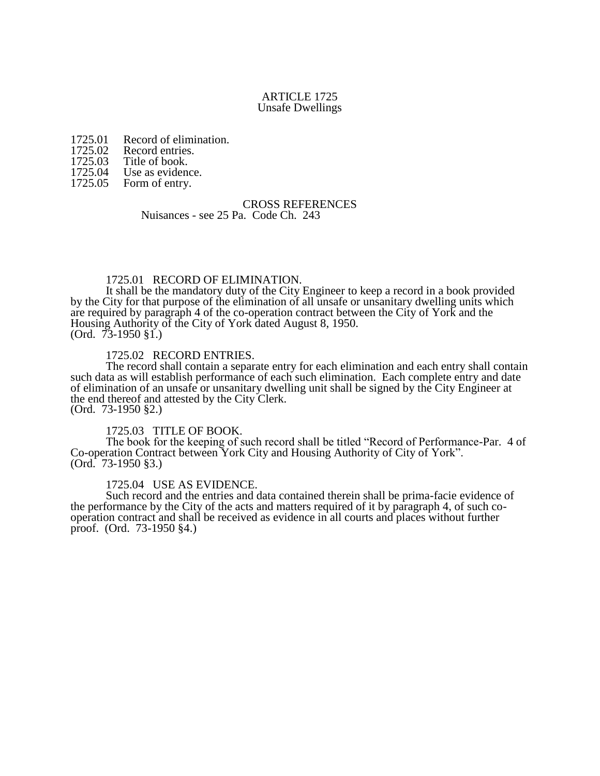#### ARTICLE 1725 Unsafe Dwellings

- 1725.01 Record of elimination.<br>1725.02 Record entries.
- 1725.02 Record entries.<br>1725.03 Title of book.
- 1725.03 Title of book.<br>1725.04 Use as eviden
- 1725.04 Use as evidence.<br>1725.05 Form of entry.

Form of entry.

#### CROSS REFERENCES Nuisances - see 25 Pa. Code Ch. 243

### 1725.01 RECORD OF ELIMINATION.

It shall be the mandatory duty of the City Engineer to keep a record in a book provided by the City for that purpose of the elimination of all unsafe or unsanitary dwelling units which are required by paragraph 4 of the co-operation contract between the City of York and the Housing Authority of the City of York dated August 8, 1950.  $(Ord. 73-1950 \$  $1.)$ 

#### 1725.02 RECORD ENTRIES.

The record shall contain a separate entry for each elimination and each entry shall contain such data as will establish performance of each such elimination. Each complete entry and date of elimination of an unsafe or unsanitary dwelling unit shall be signed by the City Engineer at the end thereof and attested by the City Clerk. (Ord. 73-1950 §2.)

1725.03 TITLE OF BOOK. The book for the keeping of such record shall be titled "Record of Performance-Par. 4 of Co-operation Contract between York City and Housing Authority of City of York". (Ord. 73-1950 §3.)

### 1725.04 USE AS EVIDENCE.

Such record and the entries and data contained therein shall be prima-facie evidence of the performance by the City of the acts and matters required of it by paragraph 4, of such cooperation contract and shall be received as evidence in all courts and places without further proof. (Ord. 73-1950 §4.)